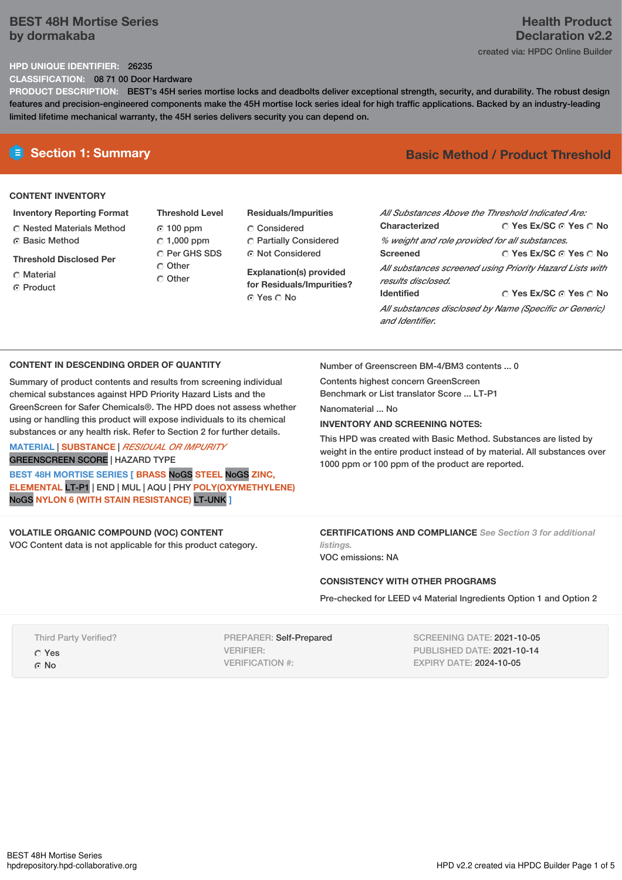# **BEST 48H Mortise Series by dormakaba**

# **Health Product Declaration v2.2** created via: HPDC Online Builder

#### **HPD UNIQUE IDENTIFIER:** 26235

**CLASSIFICATION:** 08 71 00 Door Hardware

**PRODUCT DESCRIPTION:** BEST's 45H series mortise locks and deadbolts deliver exceptional strength, security, and durability. The robust design features and precision-engineered components make the 45H mortise lock series ideal for high traffic applications. Backed by an industry-leading limited lifetime mechanical warranty, the 45H series delivers security you can depend on.

#### **CONTENT INVENTORY**

**Inventory Reporting Format**

Nested Materials Method **C** Basic Method

**Threshold Disclosed Per**

Material

**C** Product

- **Threshold Level** 100 ppm  $C$  1,000 ppm C Per GHS SDS Other C Other
- **Residuals/Impurities** Considered Partially Considered Not Considered

**Explanation(s) provided for Residuals/Impurities?** © Yes ∩ No

# **E** Section 1: Summary **Basic Method / Product Threshold**

| All Substances Above the Threshold Indicated Are:<br>Characterized             | ∩ Yes Ex/SC ∩ Yes ∩ No |  |  |
|--------------------------------------------------------------------------------|------------------------|--|--|
| % weight and role provided for all substances.                                 |                        |  |  |
| <b>Screened</b>                                                                | ○ Yes Ex/SC ⊙ Yes ○ No |  |  |
| All substances screened using Priority Hazard Lists with<br>results disclosed. |                        |  |  |
| <b>Identified</b>                                                              | ∩ Yes Ex/SC ∩ Yes ∩ No |  |  |
| All substances disclosed by Name (Specific or Generic)<br>and Identifier.      |                        |  |  |

## **CONTENT IN DESCENDING ORDER OF QUANTITY**

Summary of product contents and results from screening individual chemical substances against HPD Priority Hazard Lists and the GreenScreen for Safer Chemicals®. The HPD does not assess whether using or handling this product will expose individuals to its chemical substances or any health risk. Refer to Section 2 for further details.

### **MATERIAL** | **SUBSTANCE** | *RESIDUAL OR IMPURITY* GREENSCREEN SCORE | HAZARD TYPE

**BEST 48H MORTISE SERIES [ BRASS** NoGS **STEEL** NoGS **ZINC, ELEMENTAL** LT-P1 | END | MUL | AQU | PHY **POLY(OXYMETHYLENE)** NoGS **NYLON 6 (WITH STAIN RESISTANCE)** LT-UNK **]**

# **VOLATILE ORGANIC COMPOUND (VOC) CONTENT**

VOC Content data is not applicable for this product category.

Number of Greenscreen BM-4/BM3 contents ... 0

Contents highest concern GreenScreen Benchmark or List translator Score ... LT-P1

Nanomaterial No.

# **INVENTORY AND SCREENING NOTES:**

This HPD was created with Basic Method. Substances are listed by weight in the entire product instead of by material. All substances over 1000 ppm or 100 ppm of the product are reported.

**CERTIFICATIONS AND COMPLIANCE** *See Section 3 for additional listings.*

VOC emissions: NA

## **CONSISTENCY WITH OTHER PROGRAMS**

Pre-checked for LEED v4 Material Ingredients Option 1 and Option 2

Third Party Verified? Yes © No

PREPARER: Self-Prepared VERIFIER: VERIFICATION #:

SCREENING DATE: 2021-10-05 PUBLISHED DATE: 2021-10-14 EXPIRY DATE: 2024-10-05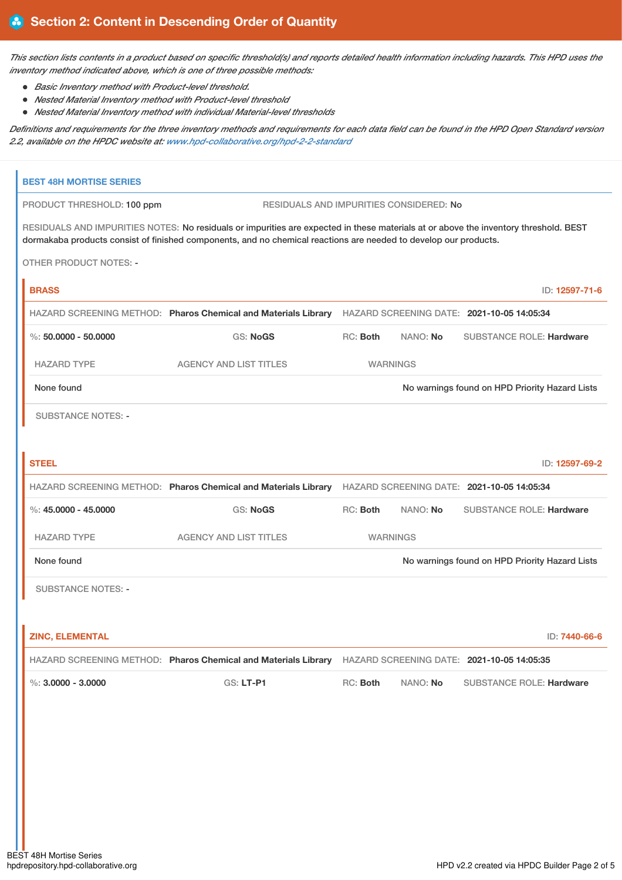This section lists contents in a product based on specific threshold(s) and reports detailed health information including hazards. This HPD uses the *inventory method indicated above, which is one of three possible methods:*

- *Basic Inventory method with Product-level threshold.*
- *Nested Material Inventory method with Product-level threshold*
- *Nested Material Inventory method with individual Material-level thresholds*

Definitions and requirements for the three inventory methods and requirements for each data field can be found in the HPD Open Standard version *2.2, available on the HPDC website at: [www.hpd-collaborative.org/hpd-2-2-standard](https://www.hpd-collaborative.org/hpd-2-2-standard)*

| <b>BEST 48H MORTISE SERIES</b>                                                                                                                                                                                                                           |                                                                                                           |                                                                                                           |                 |                                                |                |
|----------------------------------------------------------------------------------------------------------------------------------------------------------------------------------------------------------------------------------------------------------|-----------------------------------------------------------------------------------------------------------|-----------------------------------------------------------------------------------------------------------|-----------------|------------------------------------------------|----------------|
| RESIDUALS AND IMPURITIES CONSIDERED: No<br>PRODUCT THRESHOLD: 100 ppm                                                                                                                                                                                    |                                                                                                           |                                                                                                           |                 |                                                |                |
| RESIDUALS AND IMPURITIES NOTES: No residuals or impurities are expected in these materials at or above the inventory threshold. BEST<br>dormakaba products consist of finished components, and no chemical reactions are needed to develop our products. |                                                                                                           |                                                                                                           |                 |                                                |                |
| <b>OTHER PRODUCT NOTES: -</b>                                                                                                                                                                                                                            |                                                                                                           |                                                                                                           |                 |                                                |                |
| <b>BRASS</b>                                                                                                                                                                                                                                             |                                                                                                           |                                                                                                           |                 |                                                | ID: 12597-71-6 |
|                                                                                                                                                                                                                                                          | HAZARD SCREENING METHOD: Pharos Chemical and Materials Library HAZARD SCREENING DATE: 2021-10-05 14:05:34 |                                                                                                           |                 |                                                |                |
| $\%$ : 50.0000 - 50.0000                                                                                                                                                                                                                                 | <b>GS: NoGS</b>                                                                                           | RC: Both                                                                                                  | NANO: No        | <b>SUBSTANCE ROLE: Hardware</b>                |                |
| <b>HAZARD TYPE</b>                                                                                                                                                                                                                                       | <b>AGENCY AND LIST TITLES</b>                                                                             |                                                                                                           | <b>WARNINGS</b> |                                                |                |
| None found                                                                                                                                                                                                                                               |                                                                                                           |                                                                                                           |                 | No warnings found on HPD Priority Hazard Lists |                |
| <b>SUBSTANCE NOTES: -</b>                                                                                                                                                                                                                                |                                                                                                           |                                                                                                           |                 |                                                |                |
| <b>STEEL</b>                                                                                                                                                                                                                                             |                                                                                                           |                                                                                                           |                 |                                                | ID: 12597-69-2 |
|                                                                                                                                                                                                                                                          |                                                                                                           | HAZARD SCREENING METHOD: Pharos Chemical and Materials Library HAZARD SCREENING DATE: 2021-10-05 14:05:34 |                 |                                                |                |
| $\%$ : 45.0000 - 45.0000                                                                                                                                                                                                                                 | <b>GS: NoGS</b>                                                                                           | RC: Both                                                                                                  | NANO: No        | <b>SUBSTANCE ROLE: Hardware</b>                |                |
| <b>HAZARD TYPE</b>                                                                                                                                                                                                                                       | <b>AGENCY AND LIST TITLES</b>                                                                             |                                                                                                           | <b>WARNINGS</b> |                                                |                |
| None found                                                                                                                                                                                                                                               |                                                                                                           | No warnings found on HPD Priority Hazard Lists                                                            |                 |                                                |                |
| <b>SUBSTANCE NOTES: -</b>                                                                                                                                                                                                                                |                                                                                                           |                                                                                                           |                 |                                                |                |
|                                                                                                                                                                                                                                                          |                                                                                                           |                                                                                                           |                 |                                                |                |
| <b>ZINC, ELEMENTAL</b>                                                                                                                                                                                                                                   |                                                                                                           |                                                                                                           |                 |                                                | ID: 7440-66-6  |
|                                                                                                                                                                                                                                                          | HAZARD SCREENING METHOD: Pharos Chemical and Materials Library HAZARD SCREENING DATE: 2021-10-05 14:05:35 |                                                                                                           |                 |                                                |                |
| $\%$ : 3,0000 - 3,0000                                                                                                                                                                                                                                   | GS: LT-P1                                                                                                 | RC: Both                                                                                                  | NANO: No        | <b>SUBSTANCE ROLE: Hardware</b>                |                |
|                                                                                                                                                                                                                                                          |                                                                                                           |                                                                                                           |                 |                                                |                |
|                                                                                                                                                                                                                                                          |                                                                                                           |                                                                                                           |                 |                                                |                |
|                                                                                                                                                                                                                                                          |                                                                                                           |                                                                                                           |                 |                                                |                |
|                                                                                                                                                                                                                                                          |                                                                                                           |                                                                                                           |                 |                                                |                |
|                                                                                                                                                                                                                                                          |                                                                                                           |                                                                                                           |                 |                                                |                |
|                                                                                                                                                                                                                                                          |                                                                                                           |                                                                                                           |                 |                                                |                |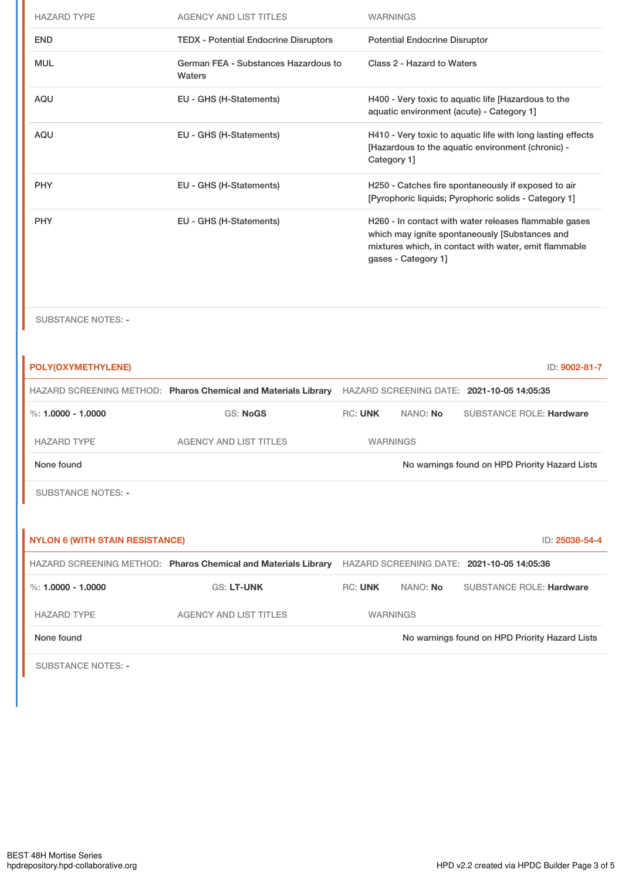| <b>HAZARD TYPE</b> | <b>AGENCY AND LIST TITLES</b>                  | <b>WARNINGS</b>                                                                                                                                                                         |
|--------------------|------------------------------------------------|-----------------------------------------------------------------------------------------------------------------------------------------------------------------------------------------|
| <b>END</b>         | <b>TEDX - Potential Endocrine Disruptors</b>   | <b>Potential Endocrine Disruptor</b>                                                                                                                                                    |
| <b>MUL</b>         | German FEA - Substances Hazardous to<br>Waters | Class 2 - Hazard to Waters                                                                                                                                                              |
| <b>AQU</b>         | EU - GHS (H-Statements)                        | H400 - Very toxic to aquatic life [Hazardous to the<br>aquatic environment (acute) - Category 1]                                                                                        |
| <b>AQU</b>         | EU - GHS (H-Statements)                        | H410 - Very toxic to aquatic life with long lasting effects<br>[Hazardous to the aquatic environment (chronic) -<br>Category 1]                                                         |
| <b>PHY</b>         | EU - GHS (H-Statements)                        | H250 - Catches fire spontaneously if exposed to air<br>[Pyrophoric liquids; Pyrophoric solids - Category 1]                                                                             |
| <b>PHY</b>         | EU - GHS (H-Statements)                        | H260 - In contact with water releases flammable gases<br>which may ignite spontaneously [Substances and<br>mixtures which, in contact with water, emit flammable<br>gases - Category 1] |

SUBSTANCE NOTES: -

| POLY(OXYMETHYLENE)                     |                                                                |                |                 | ID: 9002-81-7                                  |
|----------------------------------------|----------------------------------------------------------------|----------------|-----------------|------------------------------------------------|
|                                        | HAZARD SCREENING METHOD: Pharos Chemical and Materials Library |                |                 | HAZARD SCREENING DATE: 2021-10-05 14:05:35     |
| %: $1.0000 - 1.0000$                   | <b>GS: NoGS</b>                                                | <b>RC: UNK</b> | NANO: No        | <b>SUBSTANCE ROLE: Hardware</b>                |
| <b>HAZARD TYPE</b>                     | <b>AGENCY AND LIST TITLES</b>                                  |                | <b>WARNINGS</b> |                                                |
| None found                             |                                                                |                |                 | No warnings found on HPD Priority Hazard Lists |
| <b>SUBSTANCE NOTES: -</b>              |                                                                |                |                 |                                                |
|                                        |                                                                |                |                 |                                                |
| <b>NYLON 6 (WITH STAIN RESISTANCE)</b> |                                                                |                |                 |                                                |
|                                        |                                                                |                |                 | ID: 25038-54-4                                 |
|                                        | HAZARD SCREENING METHOD: Pharos Chemical and Materials Library |                |                 | HAZARD SCREENING DATE: 2021-10-05 14:05:36     |
| %: $1.0000 - 1.0000$                   | <b>GS: LT-UNK</b>                                              | <b>RC: UNK</b> | NANO: No        | <b>SUBSTANCE ROLE: Hardware</b>                |
| <b>HAZARD TYPE</b>                     | <b>AGENCY AND LIST TITLES</b>                                  |                | <b>WARNINGS</b> |                                                |
| None found                             |                                                                |                |                 | No warnings found on HPD Priority Hazard Lists |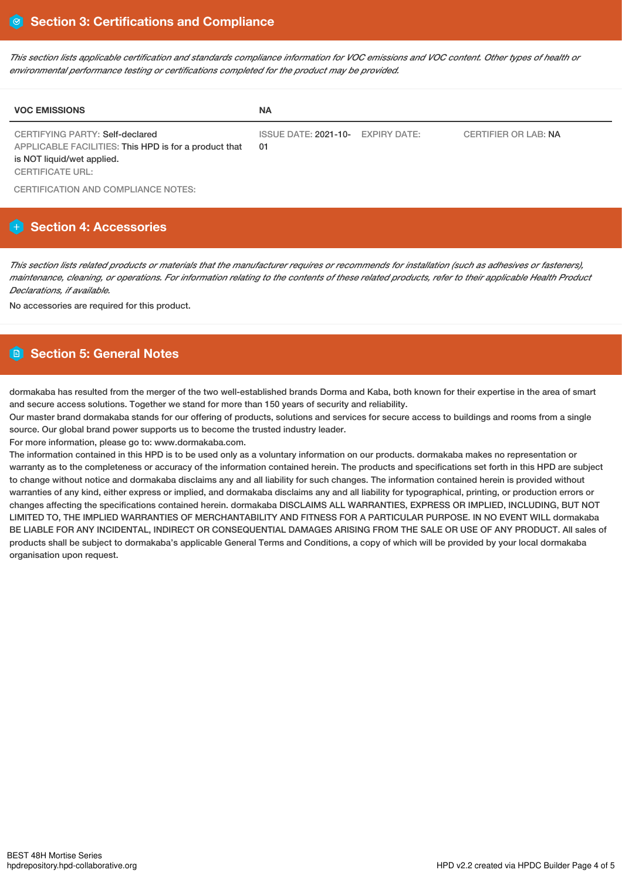This section lists applicable certification and standards compliance information for VOC emissions and VOC content. Other types of health or *environmental performance testing or certifications completed for the product may be provided.*

| <b>VOC EMISSIONS</b>                                                                                                                                     | <b>NA</b>                               |                             |
|----------------------------------------------------------------------------------------------------------------------------------------------------------|-----------------------------------------|-----------------------------|
| <b>CERTIFYING PARTY: Self-declared</b><br>APPLICABLE FACILITIES: This HPD is for a product that<br>is NOT liquid/wet applied.<br><b>CERTIFICATE URL:</b> | ISSUE DATE: 2021-10- EXPIRY DATE:<br>01 | <b>CERTIFIER OR LAB: NA</b> |

CERTIFICATION AND COMPLIANCE NOTES:

# **Section 4: Accessories**

This section lists related products or materials that the manufacturer requires or recommends for installation (such as adhesives or fasteners), maintenance, cleaning, or operations. For information relating to the contents of these related products, refer to their applicable Health Product *Declarations, if available.*

No accessories are required for this product.

# **Section 5: General Notes**

dormakaba has resulted from the merger of the two well-established brands Dorma and Kaba, both known for their expertise in the area of smart and secure access solutions. Together we stand for more than 150 years of security and reliability.

Our master brand dormakaba stands for our offering of products, solutions and services for secure access to buildings and rooms from a single source. Our global brand power supports us to become the trusted industry leader.

For more information, please go to: www.dormakaba.com.

The information contained in this HPD is to be used only as a voluntary information on our products. dormakaba makes no representation or warranty as to the completeness or accuracy of the information contained herein. The products and specifications set forth in this HPD are subject to change without notice and dormakaba disclaims any and all liability for such changes. The information contained herein is provided without warranties of any kind, either express or implied, and dormakaba disclaims any and all liability for typographical, printing, or production errors or changes affecting the specifications contained herein. dormakaba DISCLAIMS ALL WARRANTIES, EXPRESS OR IMPLIED, INCLUDING, BUT NOT LIMITED TO, THE IMPLIED WARRANTIES OF MERCHANTABILITY AND FITNESS FOR A PARTICULAR PURPOSE. IN NO EVENT WILL dormakaba BE LIABLE FOR ANY INCIDENTAL, INDIRECT OR CONSEQUENTIAL DAMAGES ARISING FROM THE SALE OR USE OF ANY PRODUCT. All sales of products shall be subject to dormakaba's applicable General Terms and Conditions, a copy of which will be provided by your local dormakaba organisation upon request.